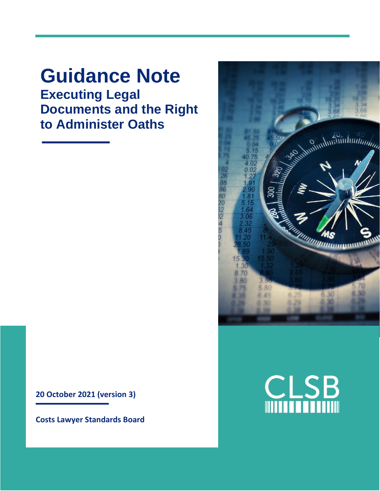# **Guidance Note Executing Legal Documents and the Right to Administer Oaths**

**20 October 2021 (version 3)**

**Costs Lawyer Standards Board**



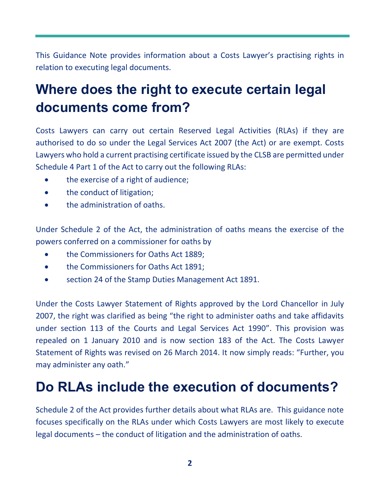This Guidance Note provides information about a Costs Lawyer's practising rights in relation to executing legal documents.

# **Where does the right to execute certain legal documents come from?**

Costs Lawyers can carry out certain Reserved Legal Activities (RLAs) if they are authorised to do so under the Legal Services Act 2007 (the Act) or are exempt. Costs Lawyers who hold a current practising certificate issued by the CLSB are permitted under Schedule 4 Part 1 of the Act to carry out the following RLAs:

- the exercise of a right of audience;
- the conduct of litigation;
- the administration of oaths.

Under Schedule 2 of the Act, the administration of oaths means the exercise of the powers conferred on a commissioner for oaths by

- the Commissioners for Oaths Act 1889;
- the Commissioners for Oaths Act 1891;
- section 24 of the Stamp Duties Management Act 1891.

Under the Costs Lawyer Statement of Rights approved by the Lord Chancellor in July 2007, the right was clarified as being "the right to administer oaths and take affidavits under section 113 of the Courts and Legal Services Act 1990". This provision was repealed on 1 January 2010 and is now section 183 of the Act. The Costs Lawyer Statement of Rights was revised on 26 March 2014. It now simply reads: "Further, you may administer any oath."

# **Do RLAs include the execution of documents?**

Schedule 2 of the Act provides further details about what RLAs are. This guidance note focuses specifically on the RLAs under which Costs Lawyers are most likely to execute legal documents – the conduct of litigation and the administration of oaths.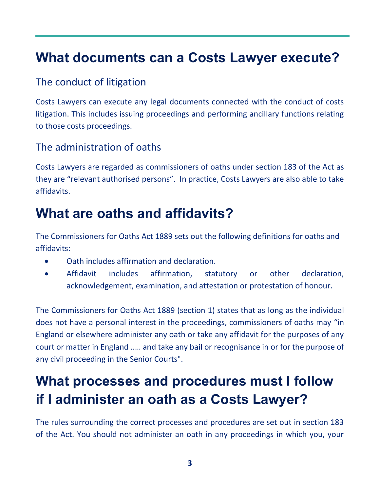## **What documents can a Costs Lawyer execute?**

### The conduct of litigation

Costs Lawyers can execute any legal documents connected with the conduct of costs litigation. This includes issuing proceedings and performing ancillary functions relating to those costs proceedings.

### The administration of oaths

Costs Lawyers are regarded as commissioners of oaths under section 183 of the Act as they are "relevant authorised persons". In practice, Costs Lawyers are also able to take affidavits.

## **What are oaths and affidavits?**

The Commissioners for Oaths Act 1889 sets out the following definitions for oaths and affidavits:

- Oath includes affirmation and declaration.
- Affidavit includes affirmation, statutory or other declaration, acknowledgement, examination, and attestation or protestation of honour.

The Commissioners for Oaths Act 1889 (section 1) states that as long as the individual does not have a personal interest in the proceedings, commissioners of oaths may "in England or elsewhere administer any oath or take any affidavit for the purposes of any court or matter in England ..… and take any bail or recognisance in or for the purpose of any civil proceeding in the Senior Courts".

# **What processes and procedures must I follow if I administer an oath as a Costs Lawyer?**

The rules surrounding the correct processes and procedures are set out in section 183 of the Act. You should not administer an oath in any proceedings in which you, your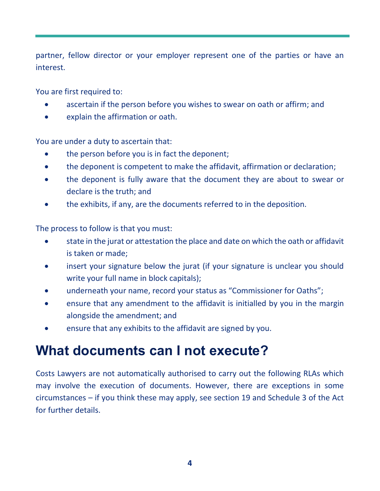partner, fellow director or your employer represent one of the parties or have an interest.

You are first required to:

- ascertain if the person before you wishes to swear on oath or affirm; and
- explain the affirmation or oath.

You are under a duty to ascertain that:

- the person before you is in fact the deponent;
- the deponent is competent to make the affidavit, affirmation or declaration;
- the deponent is fully aware that the document they are about to swear or declare is the truth; and
- the exhibits, if any, are the documents referred to in the deposition.

The process to follow is that you must:

- state in the jurat or attestation the place and date on which the oath or affidavit is taken or made;
- insert your signature below the jurat (if your signature is unclear you should write your full name in block capitals);
- underneath your name, record your status as "Commissioner for Oaths";
- ensure that any amendment to the affidavit is initialled by you in the margin alongside the amendment; and
- ensure that any exhibits to the affidavit are signed by you.

## **What documents can I not execute?**

Costs Lawyers are not automatically authorised to carry out the following RLAs which may involve the execution of documents. However, there are exceptions in some circumstances – if you think these may apply, see section 19 and Schedule 3 of the Act for further details.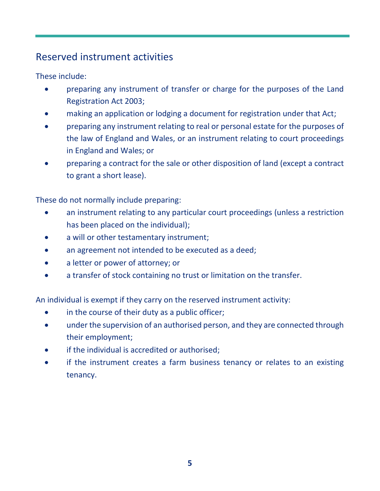### Reserved instrument activities

These include:

- preparing any instrument of transfer or charge for the purposes of the Land Registration Act 2003;
- making an application or lodging a document for registration under that Act;
- preparing any instrument relating to real or personal estate for the purposes of the law of England and Wales, or an instrument relating to court proceedings in England and Wales; or
- preparing a contract for the sale or other disposition of land (except a contract to grant a short lease).

These do not normally include preparing:

- an instrument relating to any particular court proceedings (unless a restriction has been placed on the individual);
- a will or other testamentary instrument;
- an agreement not intended to be executed as a deed;
- a letter or power of attorney; or
- a transfer of stock containing no trust or limitation on the transfer.

An individual is exempt if they carry on the reserved instrument activity:

- in the course of their duty as a public officer;
- under the supervision of an authorised person, and they are connected through their employment;
- if the individual is accredited or authorised;
- if the instrument creates a farm business tenancy or relates to an existing tenancy.